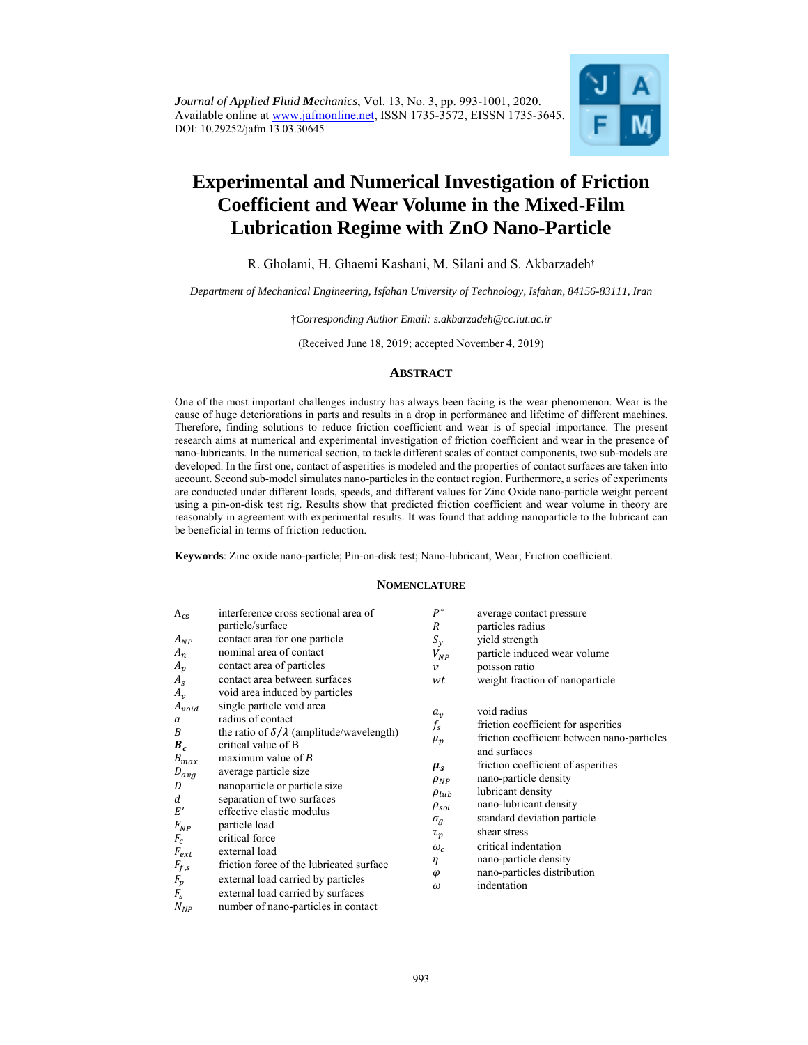*Journal of Applied Fluid Mechanics*, Vol. 13, No. 3, pp. 993-1001, 2020. Available online at www.jafmonline.net, ISSN 1735-3572, EISSN 1735-3645. DOI: 10.29252/jafm.13.03.30645



# **Experimental and Numerical Investigation of Friction Coefficient and Wear Volume in the Mixed-Film Lubrication Regime with ZnO Nano-Particle**

# R. Gholami, H. Ghaemi Kashani, M. Silani and S. Akbarzadeh†

### *Department of Mechanical Engineering, Isfahan University of Technology, Isfahan, 84156-83111, Iran*

†*Corresponding Author Email: s.akbarzadeh@cc.iut.ac.ir* 

(Received June 18, 2019; accepted November 4, 2019)

## **ABSTRACT**

One of the most important challenges industry has always been facing is the wear phenomenon. Wear is the cause of huge deteriorations in parts and results in a drop in performance and lifetime of different machines. Therefore, finding solutions to reduce friction coefficient and wear is of special importance. The present research aims at numerical and experimental investigation of friction coefficient and wear in the presence of nano-lubricants. In the numerical section, to tackle different scales of contact components, two sub-models are developed. In the first one, contact of asperities is modeled and the properties of contact surfaces are taken into account. Second sub-model simulates nano-particles in the contact region. Furthermore, a series of experiments are conducted under different loads, speeds, and different values for Zinc Oxide nano-particle weight percent using a pin-on-disk test rig. Results show that predicted friction coefficient and wear volume in theory are reasonably in agreement with experimental results. It was found that adding nanoparticle to the lubricant can be beneficial in terms of friction reduction.

**Keywords**: Zinc oxide nano-particle; Pin-on-disk test; Nano-lubricant; Wear; Friction coefficient.

### **NOMENCLATURE**

| $A_{cs}$<br>$A_{NP}$<br>$A_n$<br>$A_p$<br>$A_{\rm S}$<br>$A_v$                                                                                                           | interference cross sectional area of<br>particle/surface<br>contact area for one particle<br>nominal area of contact<br>contact area of particles<br>contact area between surfaces<br>void area induced by particles                                                                                                                                                                                                                                                                         | $P^*$<br>R<br>$S_{y}$<br>$V_{NP}$<br>$\boldsymbol{v}$<br>wt                                                                                                            | average contact pressure<br>particles radius<br>yield strength<br>particle induced wear volume<br>poisson ratio<br>weight fraction of nanoparticle                                                                                                                                                                                                                            |
|--------------------------------------------------------------------------------------------------------------------------------------------------------------------------|----------------------------------------------------------------------------------------------------------------------------------------------------------------------------------------------------------------------------------------------------------------------------------------------------------------------------------------------------------------------------------------------------------------------------------------------------------------------------------------------|------------------------------------------------------------------------------------------------------------------------------------------------------------------------|-------------------------------------------------------------------------------------------------------------------------------------------------------------------------------------------------------------------------------------------------------------------------------------------------------------------------------------------------------------------------------|
| $A_{void}$<br>a<br>B<br>$B_{c}$<br>$B_{max}$<br>$D_{avg}$<br>D<br>d<br>E'<br>$F_{NP}$<br>$F_c$<br>$F_{ext}$<br>${\cal F}_{f,s}$<br>$F_{\!p}$<br>$F_s$<br>${\cal N}_{NP}$ | single particle void area<br>radius of contact<br>the ratio of $\delta/\lambda$ (amplitude/wavelength)<br>critical value of B<br>maximum value of $B$<br>average particle size<br>nanoparticle or particle size<br>separation of two surfaces<br>effective elastic modulus<br>particle load<br>critical force<br>external load<br>friction force of the lubricated surface<br>external load carried by particles<br>external load carried by surfaces<br>number of nano-particles in contact | $a_v$<br>$f_{\rm s}$<br>$\mu_p$<br>$\mu_{s}$<br>$\rho_{NP}$<br>$\rho_{lub}$<br>$\rho_{sol}$<br>$\sigma_q$<br>$\tau_p$<br>$\omega_c$<br>$\eta$<br>$\varphi$<br>$\omega$ | void radius<br>friction coefficient for asperities<br>friction coefficient between nano-particles<br>and surfaces<br>friction coefficient of asperities<br>nano-particle density<br>lubricant density<br>nano-lubricant density<br>standard deviation particle<br>shear stress<br>critical indentation<br>nano-particle density<br>nano-particles distribution<br>indentation |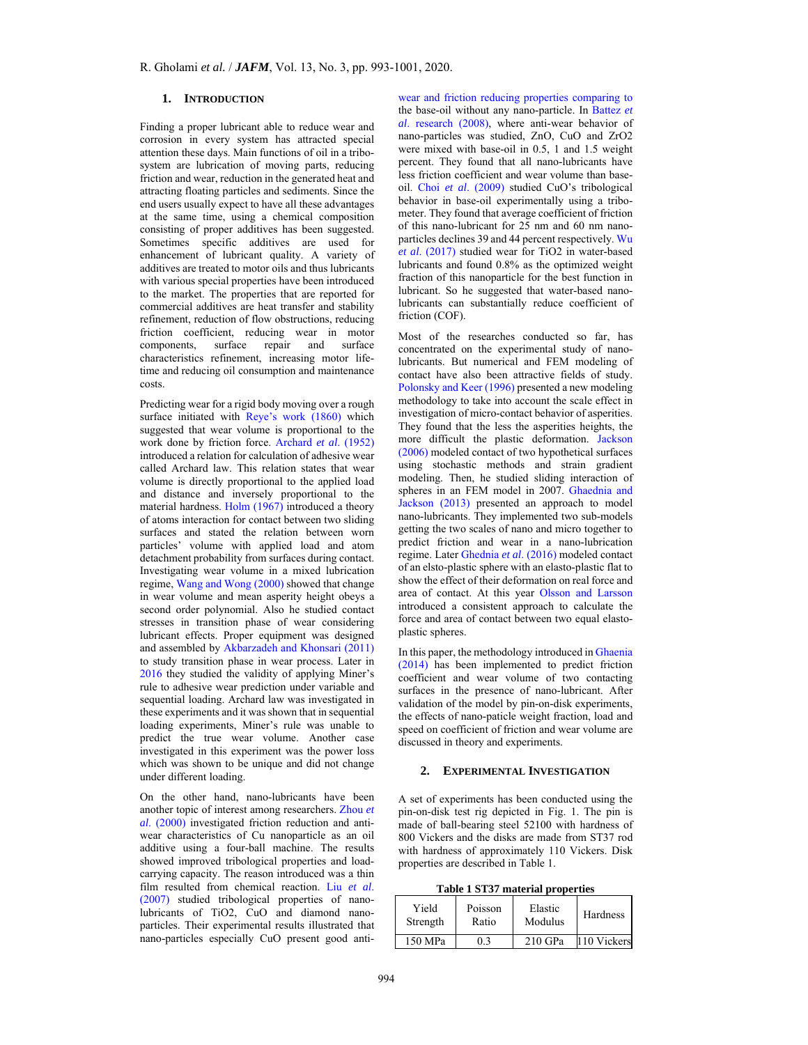# **1. INTRODUCTION**

Finding a proper lubricant able to reduce wear and corrosion in every system has attracted special attention these days. Main functions of oil in a tribosystem are lubrication of moving parts, reducing friction and wear, reduction in the generated heat and attracting floating particles and sediments. Since the end users usually expect to have all these advantages at the same time, using a chemical composition consisting of proper additives has been suggested. Sometimes specific additives are used for enhancement of lubricant quality. A variety of additives are treated to motor oils and thus lubricants with various special properties have been introduced to the market. The properties that are reported for commercial additives are heat transfer and stability refinement, reduction of flow obstructions, reducing friction coefficient, reducing wear in motor components, surface repair and surface characteristics refinement, increasing motor lifetime and reducing oil consumption and maintenance costs.

Predicting wear for a rigid body moving over a rough surface initiated with Reye's work (1860) which suggested that wear volume is proportional to the work done by friction force. Archard *et al*. (1952) introduced a relation for calculation of adhesive wear called Archard law. This relation states that wear volume is directly proportional to the applied load and distance and inversely proportional to the material hardness. Holm (1967) introduced a theory of atoms interaction for contact between two sliding surfaces and stated the relation between worn particles' volume with applied load and atom detachment probability from surfaces during contact. Investigating wear volume in a mixed lubrication regime, Wang and Wong (2000) showed that change in wear volume and mean asperity height obeys a second order polynomial. Also he studied contact stresses in transition phase of wear considering lubricant effects. Proper equipment was designed and assembled by Akbarzadeh and Khonsari (2011) to study transition phase in wear process. Later in 2016 they studied the validity of applying Miner's rule to adhesive wear prediction under variable and sequential loading. Archard law was investigated in these experiments and it was shown that in sequential loading experiments, Miner's rule was unable to predict the true wear volume. Another case investigated in this experiment was the power loss which was shown to be unique and did not change under different loading.

On the other hand, nano-lubricants have been another topic of interest among researchers. Zhou *et al*. (2000) investigated friction reduction and antiwear characteristics of Cu nanoparticle as an oil additive using a four-ball machine. The results showed improved tribological properties and loadcarrying capacity. The reason introduced was a thin film resulted from chemical reaction. Liu *et al*. (2007) studied tribological properties of nanolubricants of TiO2, CuO and diamond nanoparticles. Their experimental results illustrated that nano-particles especially CuO present good antiwear and friction reducing properties comparing to the base-oil without any nano-particle. In Battez *et al*. research (2008), where anti-wear behavior of nano-particles was studied, ZnO, CuO and ZrO2 were mixed with base-oil in 0.5, 1 and 1.5 weight percent. They found that all nano-lubricants have less friction coefficient and wear volume than baseoil. Choi *et al*. (2009) studied CuO's tribological behavior in base-oil experimentally using a tribometer. They found that average coefficient of friction of this nano-lubricant for 25 nm and 60 nm nanoparticles declines 39 and 44 percent respectively. Wu *et al*. (2017) studied wear for TiO2 in water-based lubricants and found 0.8% as the optimized weight fraction of this nanoparticle for the best function in lubricant. So he suggested that water-based nanolubricants can substantially reduce coefficient of friction (COF).

Most of the researches conducted so far, has concentrated on the experimental study of nanolubricants. But numerical and FEM modeling of contact have also been attractive fields of study. Polonsky and Keer (1996) presented a new modeling methodology to take into account the scale effect in investigation of micro-contact behavior of asperities. They found that the less the asperities heights, the more difficult the plastic deformation. Jackson (2006) modeled contact of two hypothetical surfaces using stochastic methods and strain gradient modeling. Then, he studied sliding interaction of spheres in an FEM model in 2007. Ghaednia and Jackson (2013) presented an approach to model nano-lubricants. They implemented two sub-models getting the two scales of nano and micro together to predict friction and wear in a nano-lubrication regime. Later Ghednia *et al*. (2016) modeled contact of an elsto-plastic sphere with an elasto-plastic flat to show the effect of their deformation on real force and area of contact. At this year Olsson and Larsson introduced a consistent approach to calculate the force and area of contact between two equal elastoplastic spheres.

In this paper, the methodology introduced in Ghaenia (2014) has been implemented to predict friction coefficient and wear volume of two contacting surfaces in the presence of nano-lubricant. After validation of the model by pin-on-disk experiments, the effects of nano-paticle weight fraction, load and speed on coefficient of friction and wear volume are discussed in theory and experiments.

# **2. EXPERIMENTAL INVESTIGATION**

A set of experiments has been conducted using the pin-on-disk test rig depicted in Fig. 1. The pin is made of ball-bearing steel 52100 with hardness of 800 Vickers and the disks are made from ST37 rod with hardness of approximately 110 Vickers. Disk properties are described in Table 1.

**Table 1 ST37 material properties** 

| Yield    | Poisson | Elastic   | Hardness    |
|----------|---------|-----------|-------------|
| Strength | Ratio   | Modulus   |             |
| 150 MPa  |         | $210$ GPa | 110 Vickers |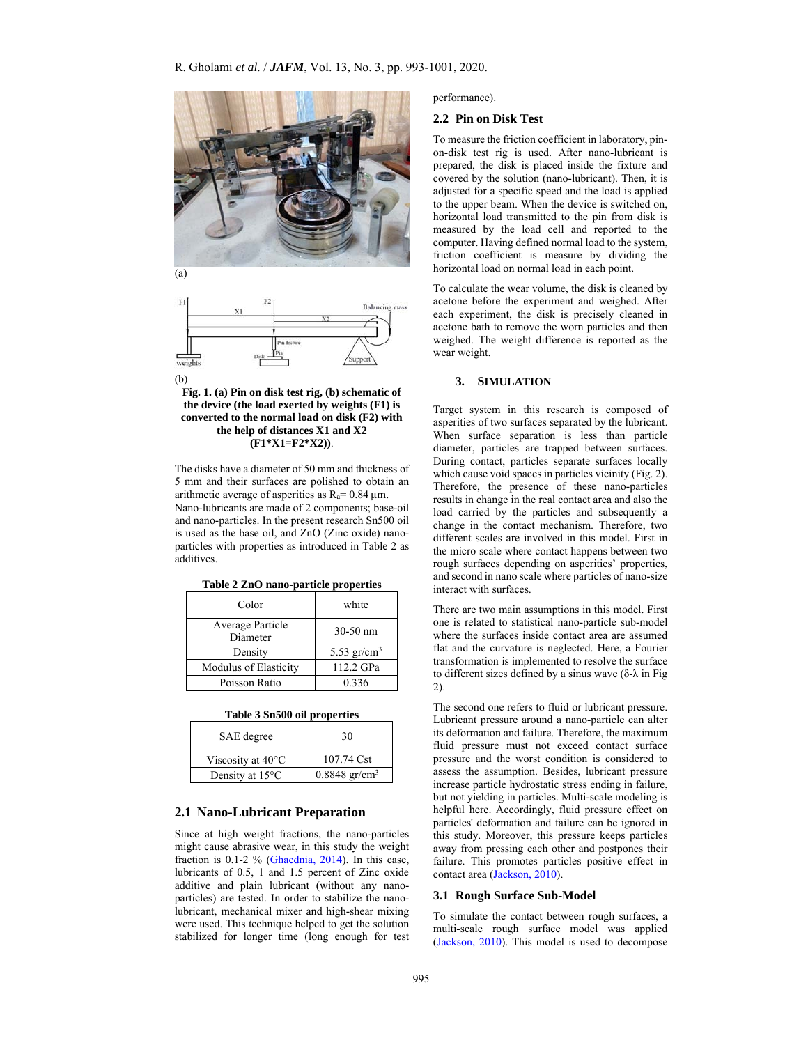

(a)



**Fig. 1. (a) Pin on disk test rig, (b) schematic of the device (the load exerted by weights (F1) is converted to the normal load on disk (F2) with the help of distances X1 and X2 (F1\*X1=F2\*X2))**.

The disks have a diameter of 50 mm and thickness of 5 mm and their surfaces are polished to obtain an arithmetic average of asperities as  $R_a = 0.84 \,\mu m$ . Nano-lubricants are made of 2 components; base-oil and nano-particles. In the present research Sn500 oil is used as the base oil, and ZnO (Zinc oxide) nanoparticles with properties as introduced in Table 2 as additives.

| Color                        | white          |
|------------------------------|----------------|
| Average Particle<br>Diameter | $30-50$ nm     |
| Density                      | 5.53 $gr/cm^3$ |
| Modulus of Elasticity        | 112.2 GPa      |
| Poisson Ratio                | 0.336          |

| Table 3 Sn500 oil properties |  |
|------------------------------|--|
|------------------------------|--|

| SAE degree                  | 30                          |
|-----------------------------|-----------------------------|
| Viscosity at $40^{\circ}$ C | 107.74 Cst                  |
| Density at $15^{\circ}$ C   | $0.8848$ gr/cm <sup>3</sup> |

## **2.1 Nano-Lubricant Preparation**

Since at high weight fractions, the nano-particles might cause abrasive wear, in this study the weight fraction is 0.1-2 % (Ghaednia, 2014). In this case, lubricants of 0.5, 1 and 1.5 percent of Zinc oxide additive and plain lubricant (without any nanoparticles) are tested. In order to stabilize the nanolubricant, mechanical mixer and high-shear mixing were used. This technique helped to get the solution stabilized for longer time (long enough for test

performance).

## **2.2 Pin on Disk Test**

To measure the friction coefficient in laboratory, pinon-disk test rig is used. After nano-lubricant is prepared, the disk is placed inside the fixture and covered by the solution (nano-lubricant). Then, it is adjusted for a specific speed and the load is applied to the upper beam. When the device is switched on, horizontal load transmitted to the pin from disk is measured by the load cell and reported to the computer. Having defined normal load to the system, friction coefficient is measure by dividing the horizontal load on normal load in each point.

To calculate the wear volume, the disk is cleaned by acetone before the experiment and weighed. After each experiment, the disk is precisely cleaned in acetone bath to remove the worn particles and then weighed. The weight difference is reported as the wear weight.

#### **3. SIMULATION**

Target system in this research is composed of asperities of two surfaces separated by the lubricant. When surface separation is less than particle diameter, particles are trapped between surfaces. During contact, particles separate surfaces locally which cause void spaces in particles vicinity (Fig. 2). Therefore, the presence of these nano-particles results in change in the real contact area and also the load carried by the particles and subsequently a change in the contact mechanism. Therefore, two different scales are involved in this model. First in the micro scale where contact happens between two rough surfaces depending on asperities' properties, and second in nano scale where particles of nano-size interact with surfaces.

There are two main assumptions in this model. First one is related to statistical nano-particle sub-model where the surfaces inside contact area are assumed flat and the curvature is neglected. Here, a Fourier transformation is implemented to resolve the surface to different sizes defined by a sinus wave (δ-λ in Fig 2).

The second one refers to fluid or lubricant pressure. Lubricant pressure around a nano-particle can alter its deformation and failure. Therefore, the maximum fluid pressure must not exceed contact surface pressure and the worst condition is considered to assess the assumption. Besides, lubricant pressure increase particle hydrostatic stress ending in failure, but not yielding in particles. Multi-scale modeling is helpful here. Accordingly, fluid pressure effect on particles' deformation and failure can be ignored in this study. Moreover, this pressure keeps particles away from pressing each other and postpones their failure. This promotes particles positive effect in contact area (Jackson, 2010).

### **3.1 Rough Surface Sub-Model**

To simulate the contact between rough surfaces, a multi-scale rough surface model was applied (Jackson, 2010). This model is used to decompose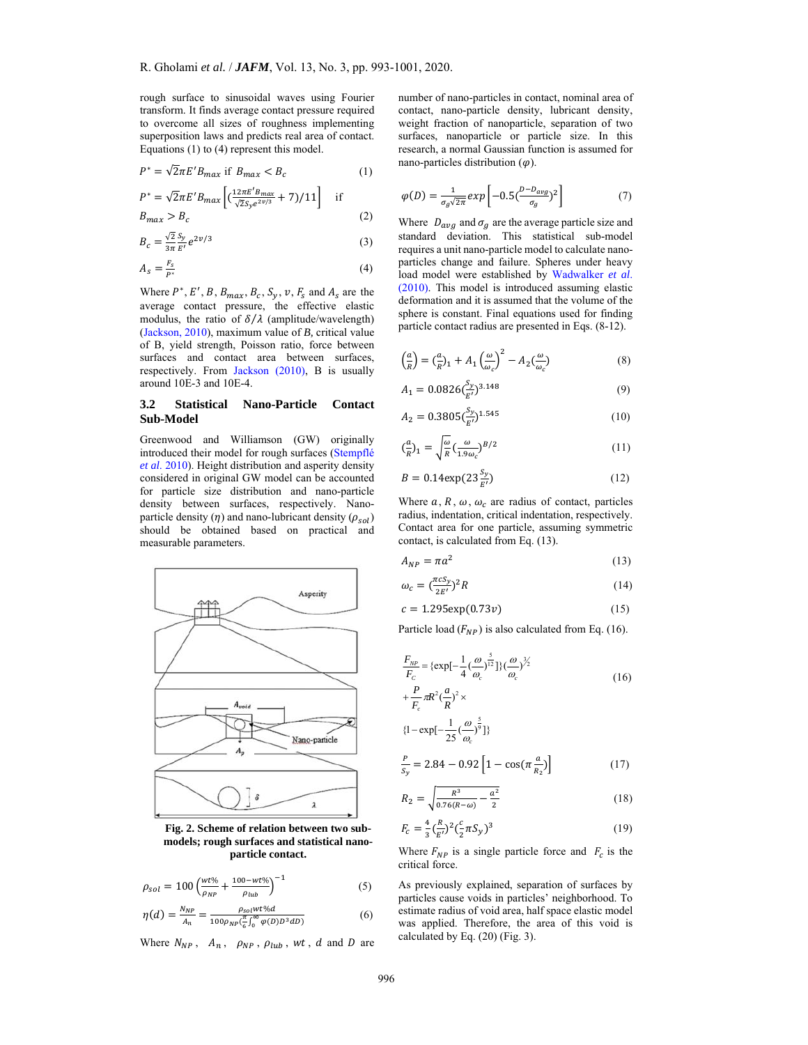rough surface to sinusoidal waves using Fourier transform. It finds average contact pressure required to overcome all sizes of roughness implementing superposition laws and predicts real area of contact. Equations (1) to (4) represent this model.

$$
P^* = \sqrt{2}\pi E' B_{max} \text{ if } B_{max} < B_c \tag{1}
$$

$$
P^* = \sqrt{2}\pi E' B_{max} \left[ \left( \frac{12\pi E' B_{max}}{\sqrt{2} S_y e^{2\nu/3}} + 7 \right) / 11 \right] \text{ if } \quad (2)
$$

$$
B_{max} > B_c \tag{2}
$$

$$
B_c = \frac{\sqrt{2}}{3\pi} \frac{S_y}{E'} e^{2\nu/3}
$$
\n<sup>(3)</sup>

$$
A_s = \frac{F_s}{P^*} \tag{4}
$$

Where  $P^*$ , E', B,  $B_{max}$ ,  $B_c$ ,  $S_y$ ,  $v$ ,  $F_s$  and  $A_s$  are the average contact pressure, the effective elastic modulus, the ratio of  $\delta/\lambda$  (amplitude/wavelength) (Jackson, 2010), maximum value of *B,* critical value of B, yield strength, Poisson ratio, force between surfaces and contact area between surfaces, respectively. From Jackson (2010), B is usually around 10E-3 and 10E-4.

# **3.2 Statistical Nano-Particle Contact Sub-Model**

Greenwood and Williamson (GW) originally introduced their model for rough surfaces (Stempflé *et al*. 2010). Height distribution and asperity density considered in original GW model can be accounted for particle size distribution and nano-particle density between surfaces, respectively. Nanoparticle density  $(\eta)$  and nano-lubricant density  $(\rho_{sol})$ should be obtained based on practical and measurable parameters.



**Fig. 2. Scheme of relation between two submodels; rough surfaces and statistical nanoparticle contact.**

$$
\rho_{sol} = 100 \left( \frac{wt\%}{\rho_{NP}} + \frac{100 - wt\%}{\rho_{lub}} \right)^{-1}
$$
 (5)

$$
\eta(d) = \frac{N_{NP}}{A_n} = \frac{\rho_{sol}wt\%d}{100\rho_{NP}(\frac{\pi}{6}\int_0^\infty \varphi(D)D^3dD)}\tag{6}
$$

Where  $N_{NP}$ ,  $A_n$ ,  $\rho_{NP}$ ,  $\rho_{lub}$ ,  $wt$ ,  $d$  and  $D$  are

number of nano-particles in contact, nominal area of contact, nano-particle density, lubricant density, weight fraction of nanoparticle, separation of two surfaces, nanoparticle or particle size. In this research, a normal Gaussian function is assumed for nano-particles distribution  $(\varphi)$ .

$$
\varphi(D) = \frac{1}{\sigma_g \sqrt{2\pi}} exp\left[-0.5\left(\frac{D - D_{avg}}{\sigma_g}\right)^2\right] \tag{7}
$$

Where  $D_{avg}$  and  $\sigma_g$  are the average particle size and standard deviation. This statistical sub-model requires a unit nano-particle model to calculate nanoparticles change and failure. Spheres under heavy load model were established by Wadwalker *et al*. (2010). This model is introduced assuming elastic deformation and it is assumed that the volume of the sphere is constant. Final equations used for finding particle contact radius are presented in Eqs. (8-12).

$$
\left(\frac{a}{R}\right) = \left(\frac{a}{R}\right)_1 + A_1 \left(\frac{\omega}{\omega_c}\right)^2 - A_2 \left(\frac{\omega}{\omega_c}\right) \tag{8}
$$

$$
A_1 = 0.0826 \left(\frac{S_y}{E'}\right)^{3.148} \tag{9}
$$

$$
A_2 = 0.3805 \left(\frac{S_y}{E'}\right)^{1.545} \tag{10}
$$

$$
\left(\frac{a}{R}\right)_1 = \sqrt{\frac{\omega}{R}} \left(\frac{\omega}{1.9\omega_c}\right)^{B/2} \tag{11}
$$

$$
B = 0.14 \exp(23 \frac{S_y}{E'}) \tag{12}
$$

Where  $a, R, \omega, \omega_c$  are radius of contact, particles radius, indentation, critical indentation, respectively. Contact area for one particle, assuming symmetric contact, is calculated from Eq. (13).

$$
A_{NP} = \pi a^2 \tag{13}
$$

$$
\omega_c = \left(\frac{\pi c S_y}{2E}\right)^2 R\tag{14}
$$

$$
c = 1.295 \exp(0.73v) \tag{15}
$$

Particle load  $(F_{NP})$  is also calculated from Eq. (16).

$$
\frac{F_{NP}}{F_c} = \{ \exp[-\frac{1}{4}(\frac{\omega}{\omega_c})^{\frac{5}{12}}] \} (\frac{\omega}{\omega_c})^{\frac{5}{2}}
$$
\n
$$
+ \frac{P}{F_c} \pi R^2 (\frac{a}{R})^2 \times
$$
\n(16)

$$
P_c \qquad K
$$
  

$$
\{1 - \exp[-\frac{1}{25}(\frac{\omega}{\omega_c})^{\frac{5}{9}}]\}
$$

$$
\frac{P}{S_y} = 2.84 - 0.92 \left[ 1 - \cos(\pi \frac{a}{R_2}) \right]
$$
 (17)

$$
R_2 = \sqrt{\frac{R^3}{0.76(R-\omega)} - \frac{a^2}{2}}
$$
 (18)

$$
F_c = \frac{4}{3} \left(\frac{R}{E'}\right)^2 \left(\frac{c}{2} \pi S_y\right)^3 \tag{19}
$$

Where  $F_{NP}$  is a single particle force and  $F_c$  is the critical force.

As previously explained, separation of surfaces by particles cause voids in particles' neighborhood. To estimate radius of void area, half space elastic model was applied. Therefore, the area of this void is calculated by Eq. (20) (Fig. 3).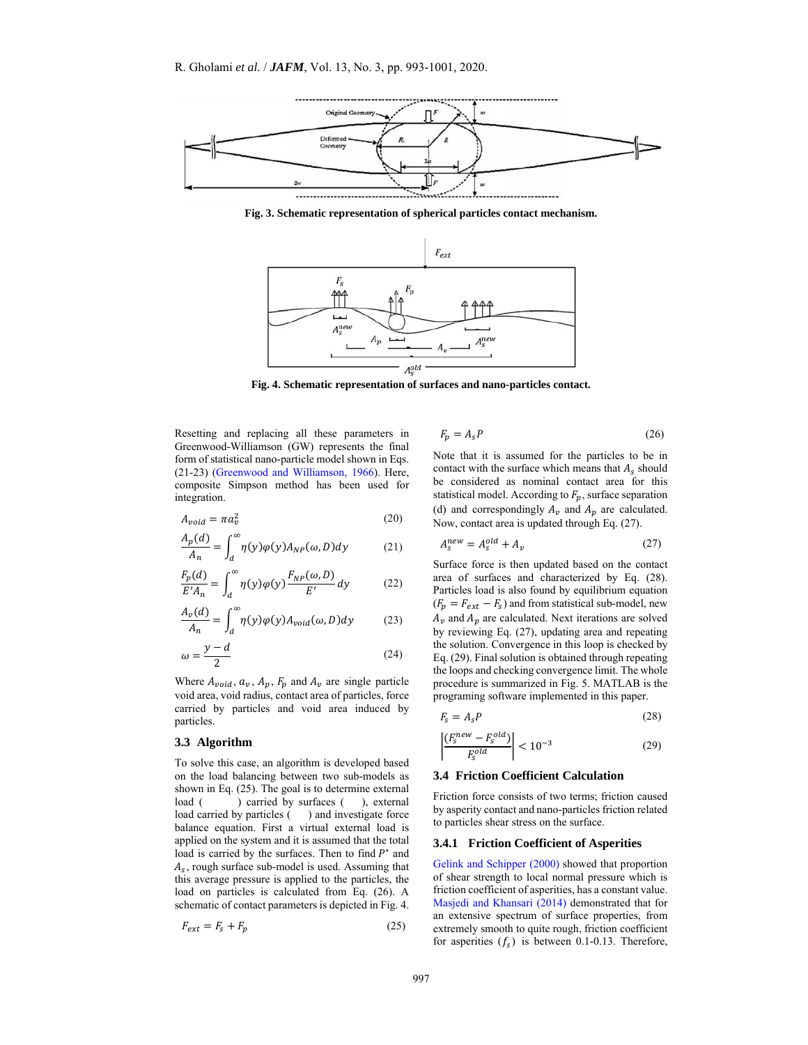

**Fig. 3. Schematic representation of spherical particles contact mechanism.**



**Fig. 4. Schematic representation of surfaces and nano-particles contact.**

Resetting and replacing all these parameters in Greenwood-Williamson (GW) represents the final form of statistical nano-particle model shown in Eqs. (21-23) (Greenwood and Williamson, 1966). Here, composite Simpson method has been used for integration.

$$
A_{void} = \pi a_v^2 \tag{20}
$$

$$
\frac{A_p(d)}{A_n} = \int_d^{\infty} \eta(y)\varphi(y)A_{NP}(\omega, D)dy
$$
 (21)

$$
\frac{F_p(d)}{E'A_n} = \int_d^\infty \eta(y)\varphi(y)\frac{F_{NP}(\omega, D)}{E'}dy
$$
 (22)

$$
\frac{A_v(d)}{A_n} = \int_d^{\infty} \eta(y)\varphi(y)A_{void}(\omega, D)dy
$$
 (23)

$$
\omega = \frac{y - d}{2} \tag{24}
$$

Where  $A_{\nu o i d}$ ,  $a_{\nu}$ ,  $A_p$ ,  $F_p$  and  $A_{\nu}$  are single particle void area, void radius, contact area of particles, force carried by particles and void area induced by particles.

# **3.3 Algorithm**

To solve this case, an algorithm is developed based on the load balancing between two sub-models as shown in Eq. (25). The goal is to determine external load () carried by surfaces (), external  $load ($ ) carried by surfaces  $($ load carried by particles () and investigate force balance equation. First a virtual external load is applied on the system and it is assumed that the total load is carried by the surfaces. Then to find  $P^*$  and  $A_s$ , rough surface sub-model is used. Assuming that this average pressure is applied to the particles, the load on particles is calculated from Eq. (26). A schematic of contact parameters is depicted in Fig. 4.

$$
F_{ext} = F_s + F_p \tag{25}
$$

$$
F_p = A_s P \tag{26}
$$

Note that it is assumed for the particles to be in contact with the surface which means that  $A_s$  should be considered as nominal contact area for this statistical model. According to  $F_p$ , surface separation (d) and correspondingly  $A_v$  and  $A_p$  are calculated. Now, contact area is updated through Eq. (27).

$$
A_s^{new} = A_s^{old} + A_v \tag{27}
$$

Surface force is then updated based on the contact area of surfaces and characterized by Eq. (28). Particles load is also found by equilibrium equation  $(F_p = F_{ext} - F_s)$  and from statistical sub-model, new  $A_v$  and  $A_p$  are calculated. Next iterations are solved by reviewing Eq. (27), updating area and repeating the solution. Convergence in this loop is checked by Eq. (29). Final solution is obtained through repeating the loops and checking convergence limit. The whole procedure is summarized in Fig. 5. MATLAB is the programing software implemented in this paper.

$$
F_s = A_s P \tag{28}
$$

$$
\left| \frac{(F_s^{new} - F_s^{old})}{F_s^{old}} \right| < 10^{-3} \tag{29}
$$

#### **3.4 Friction Coefficient Calculation**

Friction force consists of two terms; friction caused by asperity contact and nano-particles friction related to particles shear stress on the surface.

#### **3.4.1 Friction Coefficient of Asperities**

Gelink and Schipper (2000) showed that proportion of shear strength to local normal pressure which is friction coefficient of asperities, has a constant value. Masjedi and Khansari (2014) demonstrated that for an extensive spectrum of surface properties, from extremely smooth to quite rough, friction coefficient for asperities  $(f_s)$  is between 0.1-0.13. Therefore,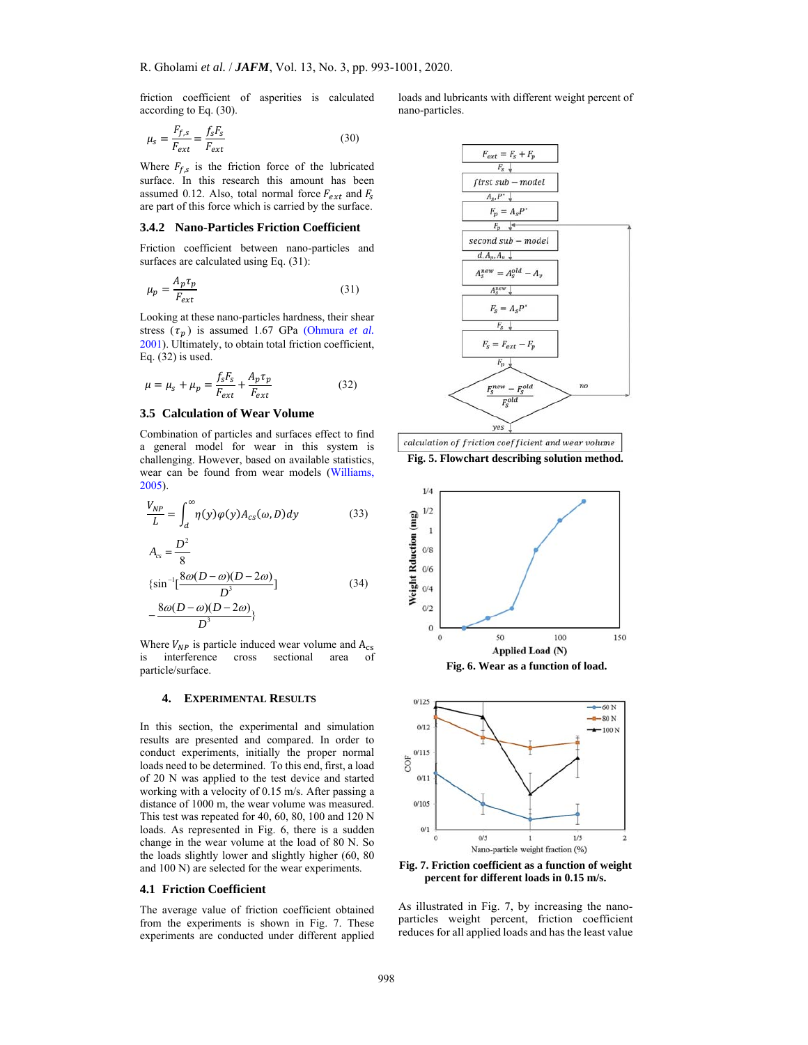friction coefficient of asperities is calculated according to Eq. (30).

$$
\mu_s = \frac{F_{f,s}}{F_{ext}} = \frac{f_s F_s}{F_{ext}}\tag{30}
$$

Where  $F_{f,s}$  is the friction force of the lubricated surface. In this research this amount has been assumed 0.12. Also, total normal force  $F_{ext}$  and  $F_s$ are part of this force which is carried by the surface.

#### **3.4.2 Nano-Particles Friction Coefficient**

Friction coefficient between nano-particles and surfaces are calculated using Eq.  $(31)$ :

$$
\mu_p = \frac{A_p \tau_p}{F_{ext}} \tag{31}
$$

Looking at these nano-particles hardness, their shear stress  $(\tau_n)$  is assumed 1.67 GPa (Ohmura *et al.*) 2001). Ultimately, to obtain total friction coefficient, Eq. (32) is used.

$$
\mu = \mu_s + \mu_p = \frac{f_s F_s}{F_{ext}} + \frac{A_p \tau_p}{F_{ext}} \tag{32}
$$

## **3.5 Calculation of Wear Volume**

Combination of particles and surfaces effect to find a general model for wear in this system is challenging. However, based on available statistics, wear can be found from wear models (Williams, 2005).

$$
\frac{V_{NP}}{L} = \int_{d}^{\infty} \eta(y)\varphi(y)A_{cs}(\omega, D)dy
$$
 (33)

$$
A_{cs} = \frac{D^2}{8}
$$
  

$$
\left\{ \sin^{-1} \left[ \frac{8\omega(D-\omega)(D-2\omega)}{D^3} \right] \right\}
$$
 (34)

$$
-\frac{8\omega(D-\omega)(D-2\omega)}{D^3}\}
$$

Where  $V_{NP}$  is particle induced wear volume and  $A_{cs}$ is interference cross sectional area of particle/surface.

#### **4. EXPERIMENTAL RESULTS**

In this section, the experimental and simulation results are presented and compared. In order to conduct experiments, initially the proper normal loads need to be determined. To this end, first, a load of 20 N was applied to the test device and started working with a velocity of 0.15 m/s. After passing a distance of 1000 m, the wear volume was measured. This test was repeated for 40, 60, 80, 100 and 120 N loads. As represented in Fig. 6, there is a sudden change in the wear volume at the load of 80 N. So the loads slightly lower and slightly higher (60, 80 and 100 N) are selected for the wear experiments.

#### **4.1 Friction Coefficient**

The average value of friction coefficient obtained from the experiments is shown in Fig. 7. These experiments are conducted under different applied loads and lubricants with different weight percent of nano-particles.



**Fig. 5. Flowchart describing solution method.**





**Fig. 7. Friction coefficient as a function of weight percent for different loads in 0.15 m/s.** 

As illustrated in Fig. 7, by increasing the nanoparticles weight percent, friction coefficient reduces for all applied loads and has the least value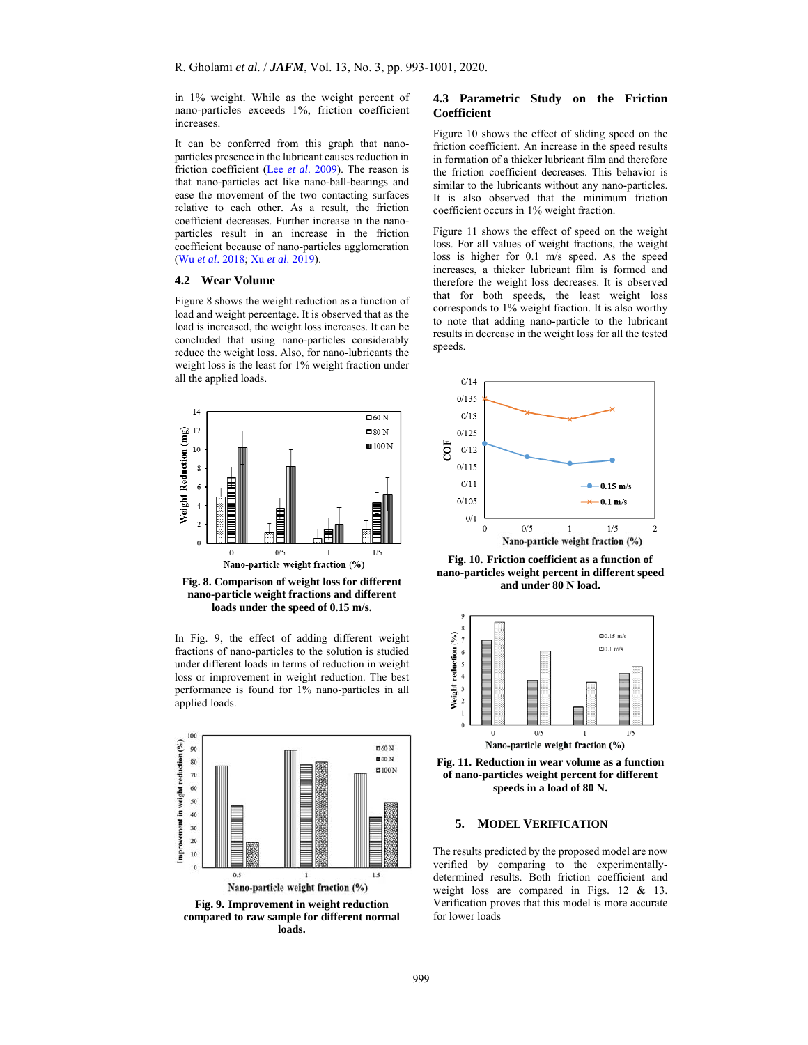in 1% weight. While as the weight percent of nano-particles exceeds 1%, friction coefficient increases.

It can be conferred from this graph that nanoparticles presence in the lubricant causes reduction in friction coefficient (Lee *et al*. 2009). The reason is that nano-particles act like nano-ball-bearings and ease the movement of the two contacting surfaces relative to each other. As a result, the friction coefficient decreases. Further increase in the nanoparticles result in an increase in the friction coefficient because of nano-particles agglomeration (Wu *et al*. 2018; Xu *et al*. 2019).

## **4.2 Wear Volume**

Figure 8 shows the weight reduction as a function of load and weight percentage. It is observed that as the load is increased, the weight loss increases. It can be concluded that using nano-particles considerably reduce the weight loss. Also, for nano-lubricants the weight loss is the least for 1% weight fraction under all the applied loads.



**Fig. 8. Comparison of weight loss for different nano-particle weight fractions and different loads under the speed of 0.15 m/s.** 

In Fig. 9, the effect of adding different weight fractions of nano-particles to the solution is studied under different loads in terms of reduction in weight loss or improvement in weight reduction. The best performance is found for 1% nano-particles in all applied loads.



**compared to raw sample for different normal loads.**

## **4.3 Parametric Study on the Friction Coefficient**

Figure 10 shows the effect of sliding speed on the friction coefficient. An increase in the speed results in formation of a thicker lubricant film and therefore the friction coefficient decreases. This behavior is similar to the lubricants without any nano-particles. It is also observed that the minimum friction coefficient occurs in 1% weight fraction.

Figure 11 shows the effect of speed on the weight loss. For all values of weight fractions, the weight loss is higher for 0.1 m/s speed. As the speed increases, a thicker lubricant film is formed and therefore the weight loss decreases. It is observed that for both speeds, the least weight loss corresponds to 1% weight fraction. It is also worthy to note that adding nano-particle to the lubricant results in decrease in the weight loss for all the tested speeds.



**Fig. 10. Friction coefficient as a function of nano-particles weight percent in different speed and under 80 N load.** 



**Fig. 11. Reduction in wear volume as a function of nano-particles weight percent for different speeds in a load of 80 N.** 

## **5. MODEL VERIFICATION**

The results predicted by the proposed model are now verified by comparing to the experimentallydetermined results. Both friction coefficient and weight loss are compared in Figs. 12 & 13. Verification proves that this model is more accurate for lower loads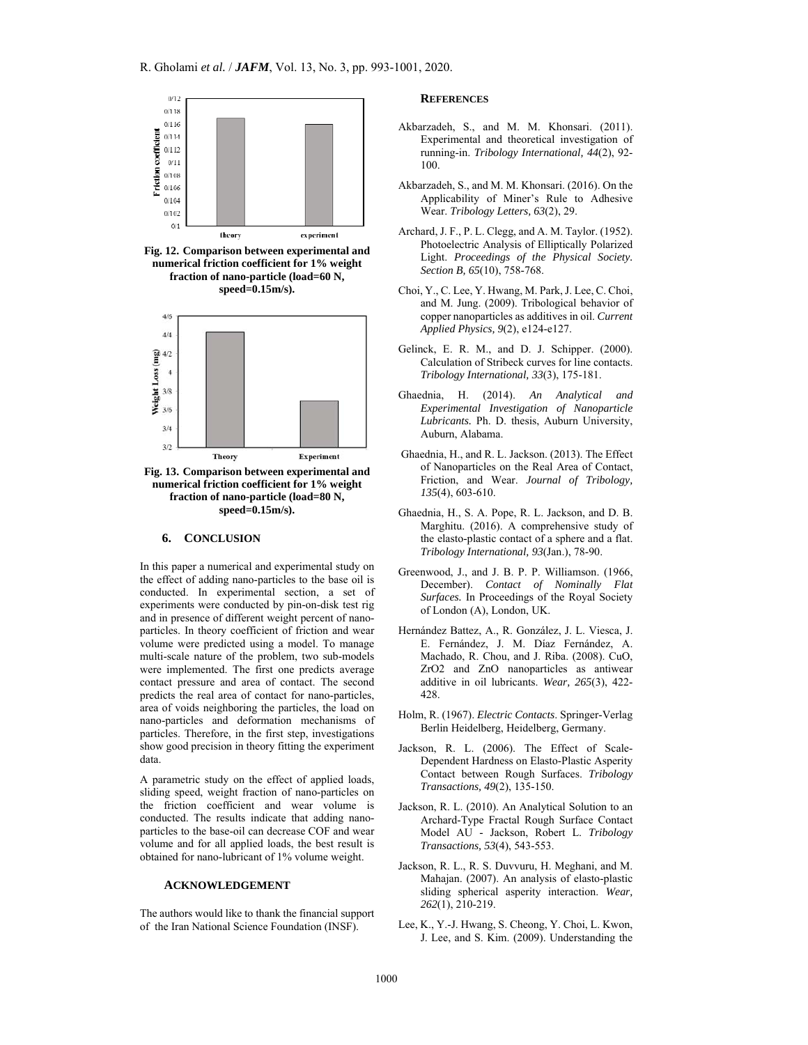

**Fig. 12. Comparison between experimental and numerical friction coefficient for 1% weight fraction of nano-particle (load=60 N, speed=0.15m/s).** 



**Fig. 13. Comparison between experimental and numerical friction coefficient for 1% weight fraction of nano-particle (load=80 N, speed=0.15m/s).**

#### **6. CONCLUSION**

In this paper a numerical and experimental study on the effect of adding nano-particles to the base oil is conducted. In experimental section, a set of experiments were conducted by pin-on-disk test rig and in presence of different weight percent of nanoparticles. In theory coefficient of friction and wear volume were predicted using a model. To manage multi-scale nature of the problem, two sub-models were implemented. The first one predicts average contact pressure and area of contact. The second predicts the real area of contact for nano-particles, area of voids neighboring the particles, the load on nano-particles and deformation mechanisms of particles. Therefore, in the first step, investigations show good precision in theory fitting the experiment data.

A parametric study on the effect of applied loads, sliding speed, weight fraction of nano-particles on the friction coefficient and wear volume is conducted. The results indicate that adding nanoparticles to the base-oil can decrease COF and wear volume and for all applied loads, the best result is obtained for nano-lubricant of 1% volume weight.

# **ACKNOWLEDGEMENT**

The authors would like to thank the financial support of the Iran National Science Foundation (INSF).

#### **REFERENCES**

- Akbarzadeh, S., and M. M. Khonsari. (2011). Experimental and theoretical investigation of running-in. *Tribology International, 44*(2), 92- 100.
- Akbarzadeh, S., and M. M. Khonsari. (2016). On the Applicability of Miner's Rule to Adhesive Wear. *Tribology Letters, 63*(2), 29.
- Archard, J. F., P. L. Clegg, and A. M. Taylor. (1952). Photoelectric Analysis of Elliptically Polarized Light. *Proceedings of the Physical Society. Section B, 65*(10), 758-768.
- Choi, Y., C. Lee, Y. Hwang, M. Park, J. Lee, C. Choi, and M. Jung. (2009). Tribological behavior of copper nanoparticles as additives in oil. *Current Applied Physics, 9*(2), e124-e127.
- Gelinck, E. R. M., and D. J. Schipper. (2000). Calculation of Stribeck curves for line contacts. *Tribology International, 33*(3), 175-181.
- Ghaednia, H. (2014). *An Analytical and Experimental Investigation of Nanoparticle Lubricants.* Ph. D. thesis, Auburn University, Auburn, Alabama.
- Ghaednia, H., and R. L. Jackson. (2013). The Effect of Nanoparticles on the Real Area of Contact, Friction, and Wear. *Journal of Tribology, 135*(4), 603-610.
- Ghaednia, H., S. A. Pope, R. L. Jackson, and D. B. Marghitu. (2016). A comprehensive study of the elasto-plastic contact of a sphere and a flat. *Tribology International, 93*(Jan.), 78-90.
- Greenwood, J., and J. B. P. P. Williamson. (1966, December). *Contact of Nominally Flat Surfaces.* In Proceedings of the Royal Society of London (A), London, UK.
- Hernández Battez, A., R. González, J. L. Viesca, J. E. Fernández, J. M. Díaz Fernández, A. Machado, R. Chou, and J. Riba. (2008). CuO, ZrO2 and ZnO nanoparticles as antiwear additive in oil lubricants. *Wear, 265*(3), 422- 428.
- Holm, R. (1967). *Electric Contacts*. Springer-Verlag Berlin Heidelberg, Heidelberg, Germany.
- Jackson, R. L. (2006). The Effect of Scale-Dependent Hardness on Elasto-Plastic Asperity Contact between Rough Surfaces. *Tribology Transactions, 49*(2), 135-150.
- Jackson, R. L. (2010). An Analytical Solution to an Archard-Type Fractal Rough Surface Contact Model AU - Jackson, Robert L. *Tribology Transactions, 53*(4), 543-553.
- Jackson, R. L., R. S. Duvvuru, H. Meghani, and M. Mahajan. (2007). An analysis of elasto-plastic sliding spherical asperity interaction. *Wear, 262*(1), 210-219.
- Lee, K., Y.-J. Hwang, S. Cheong, Y. Choi, L. Kwon, J. Lee, and S. Kim. (2009). Understanding the